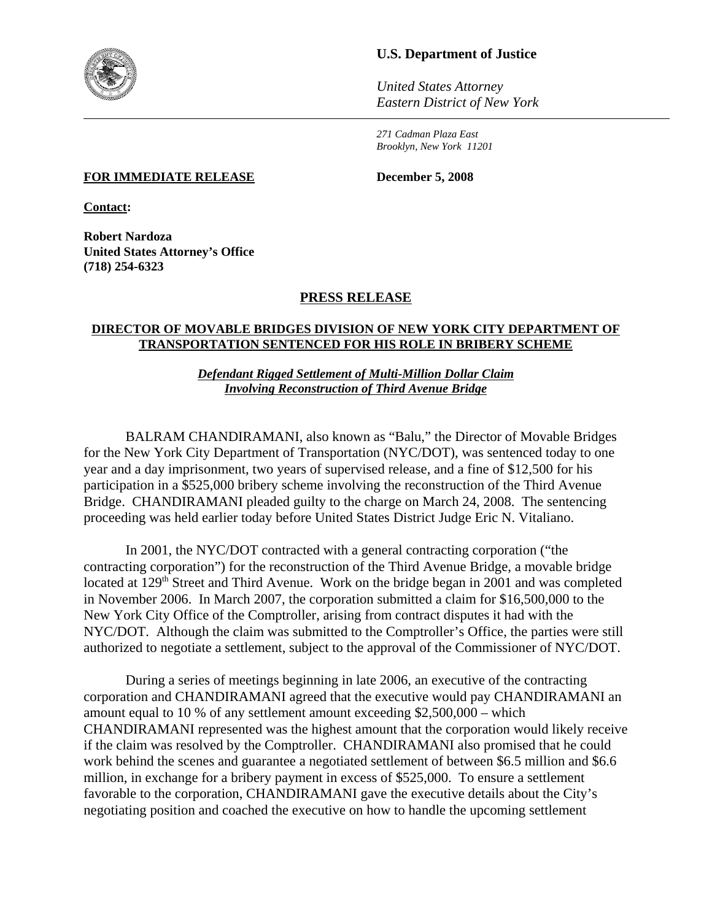

# **U.S. Department of Justice**

*United States Attorney Eastern District of New York*

*271 Cadman Plaza East Brooklyn, New York 11201*

#### **FOR IMMEDIATE RELEASE December 5, 2008**

**Contact:**

**Robert Nardoza United States Attorney's Office (718) 254-6323**

## **PRESS RELEASE**

## **DIRECTOR OF MOVABLE BRIDGES DIVISION OF NEW YORK CITY DEPARTMENT OF TRANSPORTATION SENTENCED FOR HIS ROLE IN BRIBERY SCHEME**

*Defendant Rigged Settlement of Multi-Million Dollar Claim Involving Reconstruction of Third Avenue Bridge*

BALRAM CHANDIRAMANI, also known as "Balu," the Director of Movable Bridges for the New York City Department of Transportation (NYC/DOT), was sentenced today to one year and a day imprisonment, two years of supervised release, and a fine of \$12,500 for his participation in a \$525,000 bribery scheme involving the reconstruction of the Third Avenue Bridge. CHANDIRAMANI pleaded guilty to the charge on March 24, 2008. The sentencing proceeding was held earlier today before United States District Judge Eric N. Vitaliano.

In 2001, the NYC/DOT contracted with a general contracting corporation ("the contracting corporation") for the reconstruction of the Third Avenue Bridge, a movable bridge located at 129<sup>th</sup> Street and Third Avenue. Work on the bridge began in 2001 and was completed in November 2006. In March 2007, the corporation submitted a claim for \$16,500,000 to the New York City Office of the Comptroller, arising from contract disputes it had with the NYC/DOT. Although the claim was submitted to the Comptroller's Office, the parties were still authorized to negotiate a settlement, subject to the approval of the Commissioner of NYC/DOT.

During a series of meetings beginning in late 2006, an executive of the contracting corporation and CHANDIRAMANI agreed that the executive would pay CHANDIRAMANI an amount equal to 10 % of any settlement amount exceeding \$2,500,000 – which CHANDIRAMANI represented was the highest amount that the corporation would likely receive if the claim was resolved by the Comptroller. CHANDIRAMANI also promised that he could work behind the scenes and guarantee a negotiated settlement of between \$6.5 million and \$6.6 million, in exchange for a bribery payment in excess of \$525,000. To ensure a settlement favorable to the corporation, CHANDIRAMANI gave the executive details about the City's negotiating position and coached the executive on how to handle the upcoming settlement